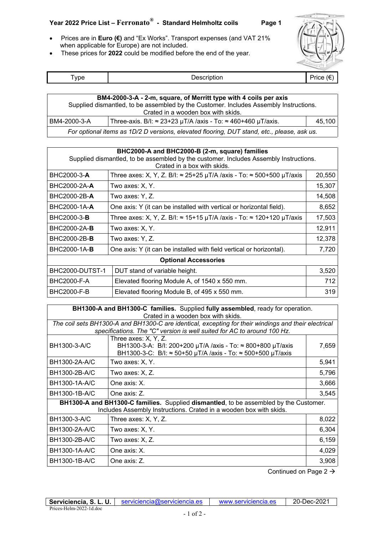## **Year 2022 Price List – Ferronato***®* **- Standard Helmholtz coils Page 1**

- Prices are in **Euro (€)** and "Ex Works". Transport expenses (and VAT 21% when applicable for Europe) are not included.
- These prices for **2022** could be modified before the end of the year.



| vne |               | –                 |
|-----|---------------|-------------------|
|     | $\cdots$<br>. | $\cdot\cdot\cdot$ |

| BM4-2000-3-A - 2-m, square, of Merritt type with 4 coils per axis                          |                                                                              |        |
|--------------------------------------------------------------------------------------------|------------------------------------------------------------------------------|--------|
| Supplied dismantled, to be assembled by the Customer. Includes Assembly Instructions.      |                                                                              |        |
| Crated in a wooden box with skids.                                                         |                                                                              |        |
| BM4-2000-3-A                                                                               | Three-axis. B/I: $\approx$ 23+23 µT/A /axis - To: $\approx$ 460+460 µT/axis. | 45.100 |
| For optional items as 1D/2 D versions, elevated flooring, DUT stand, etc., please, ask us. |                                                                              |        |

| BHC2000-A and BHC2000-B (2-m, square) families<br>Supplied dismantled, to be assembled by the customer. Includes Assembly Instructions.<br>Crated in a box with skids. |                                                                                      |        |
|------------------------------------------------------------------------------------------------------------------------------------------------------------------------|--------------------------------------------------------------------------------------|--------|
| BHC2000-3-A                                                                                                                                                            | Three axes: X, Y, Z. B/I: $\approx$ 25+25 µT/A /axis - To: $\approx$ 500+500 µT/axis | 20,550 |
| BHC2000-2A-A                                                                                                                                                           | Two axes: X, Y.                                                                      | 15,307 |
| BHC2000-2B-A                                                                                                                                                           | Two axes: Y, Z.                                                                      | 14,508 |
| BHC2000-1A-A                                                                                                                                                           | One axis: Y (it can be installed with vertical or horizontal field).                 | 8,652  |
| BHC2000-3- <b>B</b>                                                                                                                                                    | Three axes: X, Y, Z. B/I: $\approx$ 15+15 µT/A /axis - To: $\approx$ 120+120 µT/axis | 17,503 |
| BHC2000-2A- <b>B</b>                                                                                                                                                   | Two axes: X, Y.                                                                      | 12,911 |
| BHC2000-2B- <b>B</b>                                                                                                                                                   | Two axes: Y, Z.                                                                      | 12,378 |
| BHC2000-1A- <b>B</b>                                                                                                                                                   | One axis: Y (it can be installed with field vertical or horizontal).                 | 7,720  |
| <b>Optional Accessories</b>                                                                                                                                            |                                                                                      |        |
| BHC2000-DUTST-1                                                                                                                                                        | DUT stand of variable height.                                                        | 3,520  |
| <b>BHC2000-F-A</b>                                                                                                                                                     | Elevated flooring Module A, of 1540 x 550 mm.                                        | 712    |
| <b>BHC2000-F-B</b>                                                                                                                                                     | Elevated flooring Module B, of 495 x 550 mm.                                         | 319    |

| BH1300-A and BH1300-C families. Supplied fully assembled, ready for operation.<br>Crated in a wooden box with skids.                                                            |                                                                                                                                                    |       |
|---------------------------------------------------------------------------------------------------------------------------------------------------------------------------------|----------------------------------------------------------------------------------------------------------------------------------------------------|-------|
| The coil sets BH1300-A and BH1300-C are identical, excepting for their windings and their electrical<br>specifications. The "C" version is well suited for AC to around 100 Hz. |                                                                                                                                                    |       |
| BH1300-3-A/C                                                                                                                                                                    | Three axes: X, Y, Z.<br>BH1300-3-A: B/I: 200+200 µT/A /axis - To: ≈ 800+800 µT/axis<br>BH1300-3-C: B/I: ≈ 50+50 µT/A /axis - To: ≈ 500+500 µT/axis | 7,659 |
| BH1300-2A-A/C                                                                                                                                                                   | Two axes: X, Y.                                                                                                                                    | 5,941 |
| BH1300-2B-A/C                                                                                                                                                                   | Two axes: X, Z.                                                                                                                                    | 5,796 |
| BH1300-1A-A/C                                                                                                                                                                   | One axis: X.                                                                                                                                       | 3,666 |
| BH1300-1B-A/C                                                                                                                                                                   | One axis: Z.                                                                                                                                       | 3,545 |
| <b>BH1300-A and BH1300-C families.</b> Supplied dismantled, to be assembled by the Customer.<br>Includes Assembly Instructions. Crated in a wooden box with skids.              |                                                                                                                                                    |       |
| BH1300-3-A/C                                                                                                                                                                    | Three axes: X, Y, Z.                                                                                                                               | 8,022 |
| BH1300-2A-A/C                                                                                                                                                                   | Two axes: X, Y.                                                                                                                                    | 6,304 |
| BH1300-2B-A/C                                                                                                                                                                   | Two axes: X, Z.                                                                                                                                    | 6,159 |
| BH1300-1A-A/C                                                                                                                                                                   | One axis: X.                                                                                                                                       | 4,029 |
| BH1300-1B-A/C                                                                                                                                                                   | One axis: Z.                                                                                                                                       | 3,908 |

Continued on Page 2  $\rightarrow$ 

|                         | Serviciencia, S. L. U.   serviciencia@serviciencia.es | www.serviciencia.es | 20-Dec-2021 |
|-------------------------|-------------------------------------------------------|---------------------|-------------|
| Prices-Helm-2022-1d.doc |                                                       |                     |             |